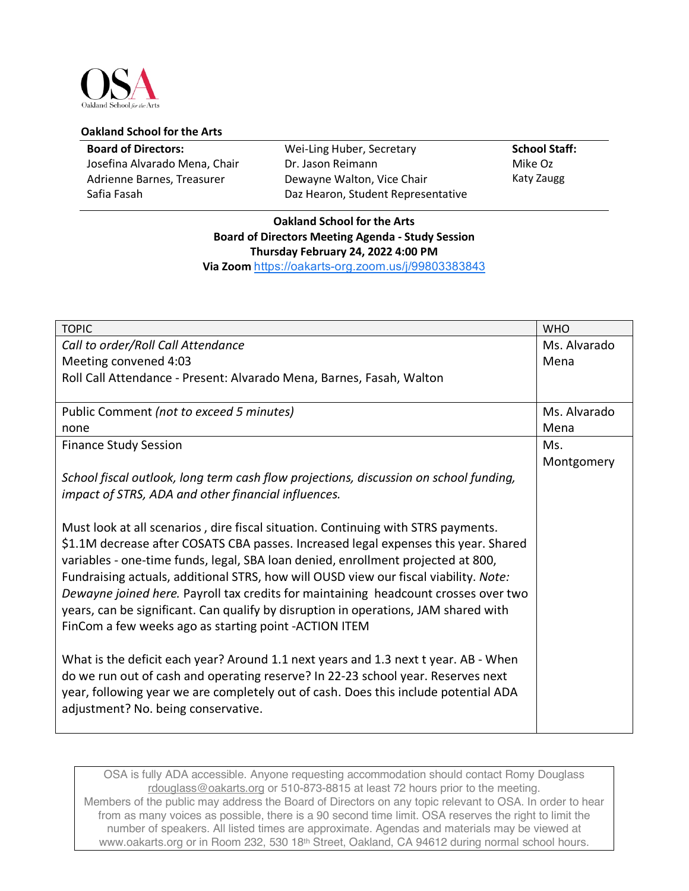

## **Oakland School for the Arts**

| <b>Board of Directors:</b>    | Wei-Ling Huber, Secretary          | <b>School Staff:</b> |
|-------------------------------|------------------------------------|----------------------|
| Josefina Alvarado Mena, Chair | Dr. Jason Reimann                  | Mike Oz              |
| Adrienne Barnes, Treasurer    | Dewayne Walton, Vice Chair         | Katy Zaugg           |
| Safia Fasah                   | Daz Hearon, Student Representative |                      |

## **Oakland School for the Arts Board of Directors Meeting Agenda - Study Session Thursday February 24, 2022 4:00 PM Via Zoom** https://oakarts-org.zoom.us/j/99803383843

| <b>TOPIC</b>                                                                          | <b>WHO</b>   |
|---------------------------------------------------------------------------------------|--------------|
| Call to order/Roll Call Attendance                                                    | Ms. Alvarado |
| Meeting convened 4:03                                                                 | Mena         |
| Roll Call Attendance - Present: Alvarado Mena, Barnes, Fasah, Walton                  |              |
| Public Comment (not to exceed 5 minutes)                                              | Ms. Alvarado |
| none                                                                                  | Mena         |
| <b>Finance Study Session</b>                                                          | Ms.          |
|                                                                                       | Montgomery   |
| School fiscal outlook, long term cash flow projections, discussion on school funding, |              |
| impact of STRS, ADA and other financial influences.                                   |              |
|                                                                                       |              |
| Must look at all scenarios, dire fiscal situation. Continuing with STRS payments.     |              |
| \$1.1M decrease after COSATS CBA passes. Increased legal expenses this year. Shared   |              |
| variables - one-time funds, legal, SBA loan denied, enrollment projected at 800,      |              |
| Fundraising actuals, additional STRS, how will OUSD view our fiscal viability. Note:  |              |
| Dewayne joined here. Payroll tax credits for maintaining headcount crosses over two   |              |
| years, can be significant. Can qualify by disruption in operations, JAM shared with   |              |
| FinCom a few weeks ago as starting point -ACTION ITEM                                 |              |
|                                                                                       |              |
| What is the deficit each year? Around 1.1 next years and 1.3 next t year. AB - When   |              |
| do we run out of cash and operating reserve? In 22-23 school year. Reserves next      |              |
| year, following year we are completely out of cash. Does this include potential ADA   |              |
| adjustment? No. being conservative.                                                   |              |
|                                                                                       |              |

OSA is fully ADA accessible. Anyone requesting accommodation should contact Romy Douglass rdouglass@oakarts.org or 510-873-8815 at least 72 hours prior to the meeting. Members of the public may address the Board of Directors on any topic relevant to OSA. In order to hear from as many voices as possible, there is a 90 second time limit. OSA reserves the right to limit the number of speakers. All listed times are approximate. Agendas and materials may be viewed at www.oakarts.org or in Room 232, 530 18th Street, Oakland, CA 94612 during normal school hours.